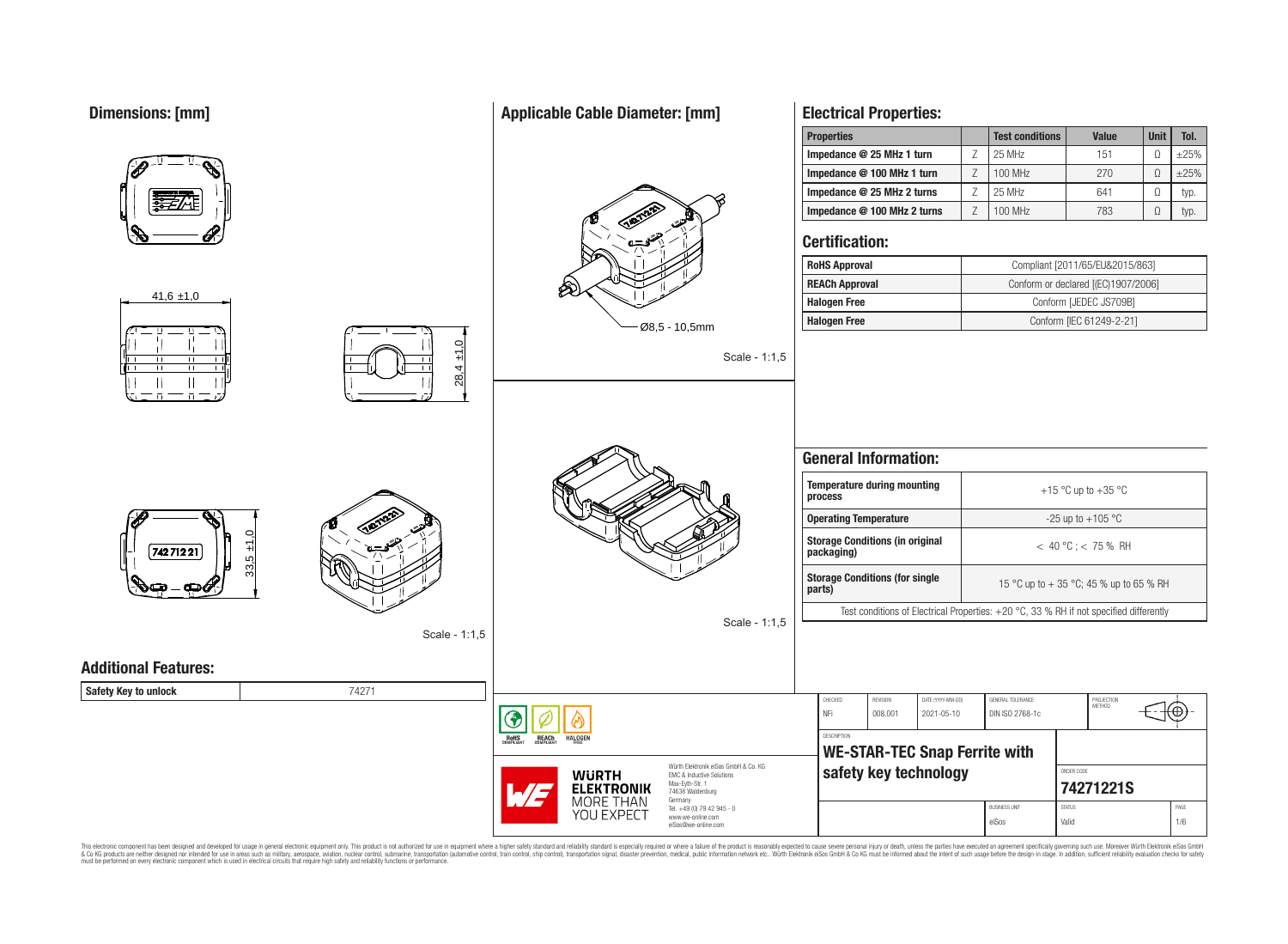# **Dimensions: [mm]**

|                             |               |                                                                                              | <b>Properties</b>                                                                      |                       | <b>Test conditions</b> | <b>Value</b>                            | <b>Unit</b> | Tol.       |
|-----------------------------|---------------|----------------------------------------------------------------------------------------------|----------------------------------------------------------------------------------------|-----------------------|------------------------|-----------------------------------------|-------------|------------|
|                             |               |                                                                                              | Impedance @ 25 MHz 1 turn                                                              | $\mathsf Z$           | 25 MHz                 | 151                                     | $\Omega$    | $\pm 25\%$ |
|                             |               |                                                                                              | Impedance @ 100 MHz 1 turn                                                             | $\mathsf Z$           | 100 MHz                | 270                                     | $\Omega$    | $\pm 25\%$ |
|                             |               |                                                                                              | Impedance @ 25 MHz 2 turns                                                             | Z                     | 25 MHz                 | 641                                     | $\Omega$    | typ.       |
|                             |               |                                                                                              | Impedance @ 100 MHz 2 turns                                                            | Z                     | 100 MHz                | 783                                     | $\Omega$    | typ.       |
|                             |               |                                                                                              | <b>Certification:</b>                                                                  |                       |                        |                                         |             |            |
|                             |               |                                                                                              | <b>RoHS Approval</b>                                                                   |                       |                        | Compliant [2011/65/EU&2015/863]         |             |            |
|                             |               | ℅                                                                                            | <b>REACh Approval</b>                                                                  |                       |                        | Conform or declared [(EC)1907/2006]     |             |            |
| $41,6 \pm 1,0$              |               |                                                                                              | <b>Halogen Free</b>                                                                    |                       |                        | Conform [JEDEC JS709B]                  |             |            |
|                             |               | $0.65 - 10,5$ mm                                                                             | <b>Halogen Free</b>                                                                    |                       |                        | Conform [IEC 61249-2-21]                |             |            |
| $\blacksquare$              | $\pm 1.0$     | Scale - 1:1,5                                                                                |                                                                                        |                       |                        |                                         |             |            |
|                             | 28,4          |                                                                                              |                                                                                        |                       |                        |                                         |             |            |
| $\Box$<br>죠                 |               |                                                                                              |                                                                                        |                       |                        |                                         |             |            |
|                             |               |                                                                                              |                                                                                        |                       |                        |                                         |             |            |
|                             |               |                                                                                              |                                                                                        |                       |                        |                                         |             |            |
|                             |               |                                                                                              | <b>General Information:</b>                                                            |                       |                        |                                         |             |            |
|                             |               |                                                                                              | <b>Temperature during mounting</b><br>process                                          |                       | +15 °C up to +35 °C    |                                         |             |            |
|                             |               |                                                                                              | <b>Operating Temperature</b>                                                           |                       |                        | -25 up to $+105$ °C                     |             |            |
| 74271221                    | 5             |                                                                                              | <b>Storage Conditions (in original</b><br>packaging)                                   | $< 40 °C$ ; < 75 % RH |                        |                                         |             |            |
|                             | 33,           |                                                                                              | <b>Storage Conditions (for single</b><br>parts)                                        |                       |                        | 15 °C up to + 35 °C; 45 % up to 65 % RH |             |            |
|                             |               |                                                                                              | Test conditions of Electrical Properties: +20 °C, 33 % RH if not specified differently |                       |                        |                                         |             |            |
|                             | Scale - 1:1,5 | Scale - 1:1,5                                                                                |                                                                                        |                       |                        |                                         |             |            |
|                             |               |                                                                                              |                                                                                        |                       |                        |                                         |             |            |
| <b>Additional Features:</b> |               |                                                                                              |                                                                                        |                       |                        |                                         |             |            |
| Safety Key to unlock        | 74271         |                                                                                              | CHECKED<br>REVISION<br>DATE (YYYY-MM-DD)                                               |                       | GENERAL TOLERANCE      |                                         |             |            |
|                             |               | €                                                                                            | NFi<br>008.001<br>2021-05-10                                                           |                       | DIN ISO 2768-1c        | PROJECTION<br>METHOD                    | ₩⊕          |            |
|                             |               | <b>REACh</b><br>HALOGEN<br><b>ROHS</b>                                                       | DESCRIPTION                                                                            |                       |                        |                                         |             |            |
|                             |               |                                                                                              | <b>WE-STAR-TEC Snap Ferrite with</b>                                                   |                       |                        |                                         |             |            |
|                             |               | Würth Elektronik eiSos GmbH & Co. KG<br><b>WURTH</b><br>EMC & Inductive Solutions            | safety key technology                                                                  |                       | ORDER CODE             |                                         |             |            |
|                             |               | Max-Eyth-Str. 1<br><b>ELEKTRONIK</b><br>W 2<br>74638 Waldenburg                              |                                                                                        |                       | 74271221S              |                                         |             |            |
|                             |               | <b>MORE THAN</b><br>Germany<br>Tel. +49 (0) 79 42 945 - 0<br>YOU EXPECT<br>www.we-online.com |                                                                                        |                       | <b>BUSINESS UNIT</b>   | <b>STATUS</b>                           |             | PAGE       |
|                             |               | eiSos@we-online.com                                                                          |                                                                                        |                       | eiSos                  | Valid                                   |             | 1/6        |

This electronic component has been designed and developed for usage in general electronic equipment only. This product is not authorized for subserved requipment where a higher selection equipment where a higher selection

# **Applicable Cable Diameter: [mm]**

**Electrical Properties:**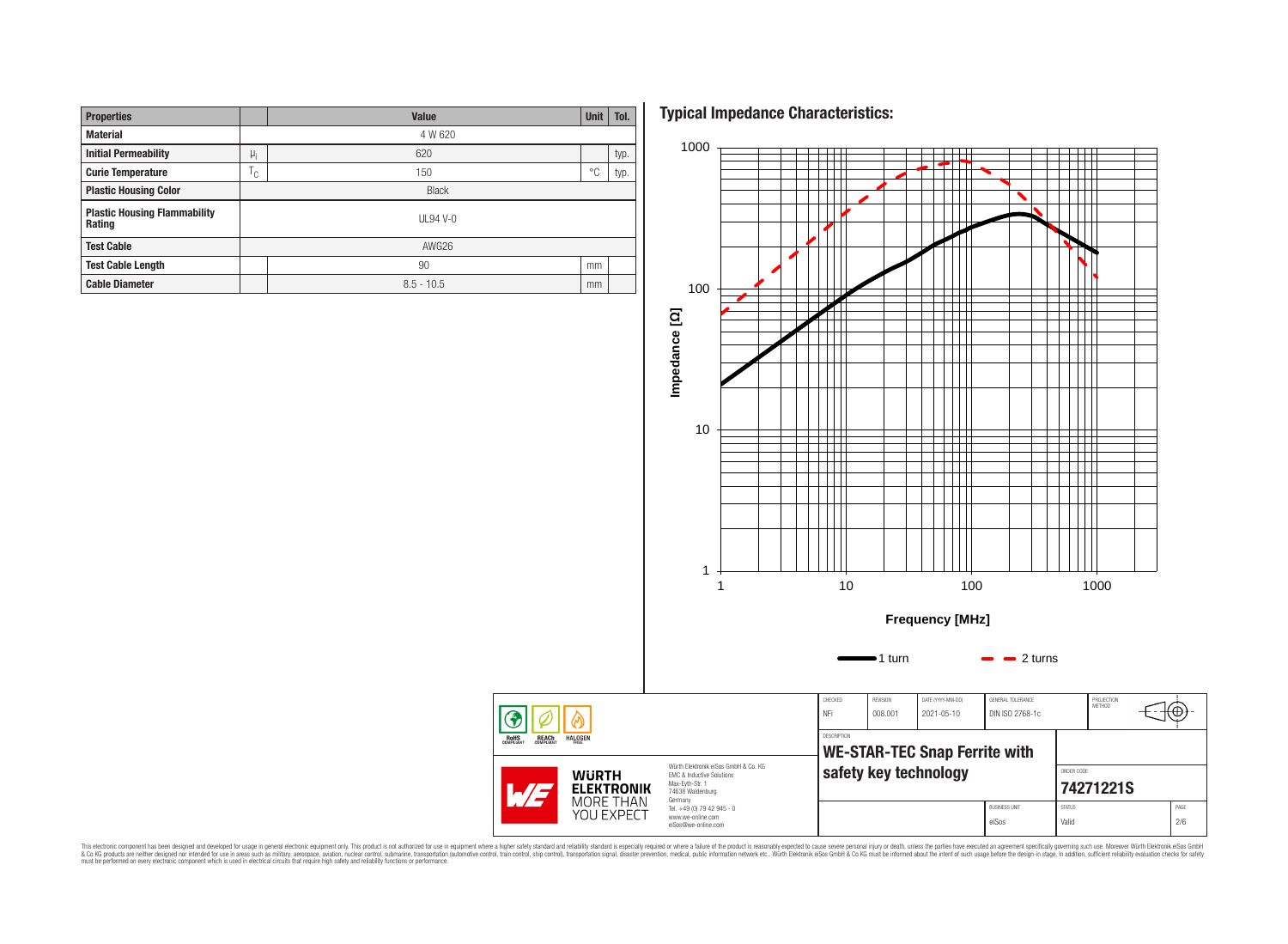| <b>Properties</b>                             |  | Value        | <b>Unit</b> | Tol. |  |  |  |  |
|-----------------------------------------------|--|--------------|-------------|------|--|--|--|--|
| <b>Material</b>                               |  | 4 W 620      |             |      |  |  |  |  |
| <b>Initial Permeability</b>                   |  | 620          |             | typ. |  |  |  |  |
| <b>Curie Temperature</b>                      |  | 150          | °C          | typ. |  |  |  |  |
| <b>Plastic Housing Color</b>                  |  | <b>Black</b> |             |      |  |  |  |  |
| <b>Plastic Housing Flammability</b><br>Rating |  | $UL94V-0$    |             |      |  |  |  |  |
| <b>Test Cable</b>                             |  | AWG26        |             |      |  |  |  |  |
| <b>Test Cable Length</b>                      |  | 90           | mm          |      |  |  |  |  |
| <b>Cable Diameter</b>                         |  | $8.5 - 10.5$ |             |      |  |  |  |  |

**Typical Impedance Characteristics:**



This electronic component has been designed and developed for usage in general electronic equipment only. This product is not authorized for subserved requipment where a higher selection equipment where a higher selection

◈ **ROHS**<br>COMPLIANT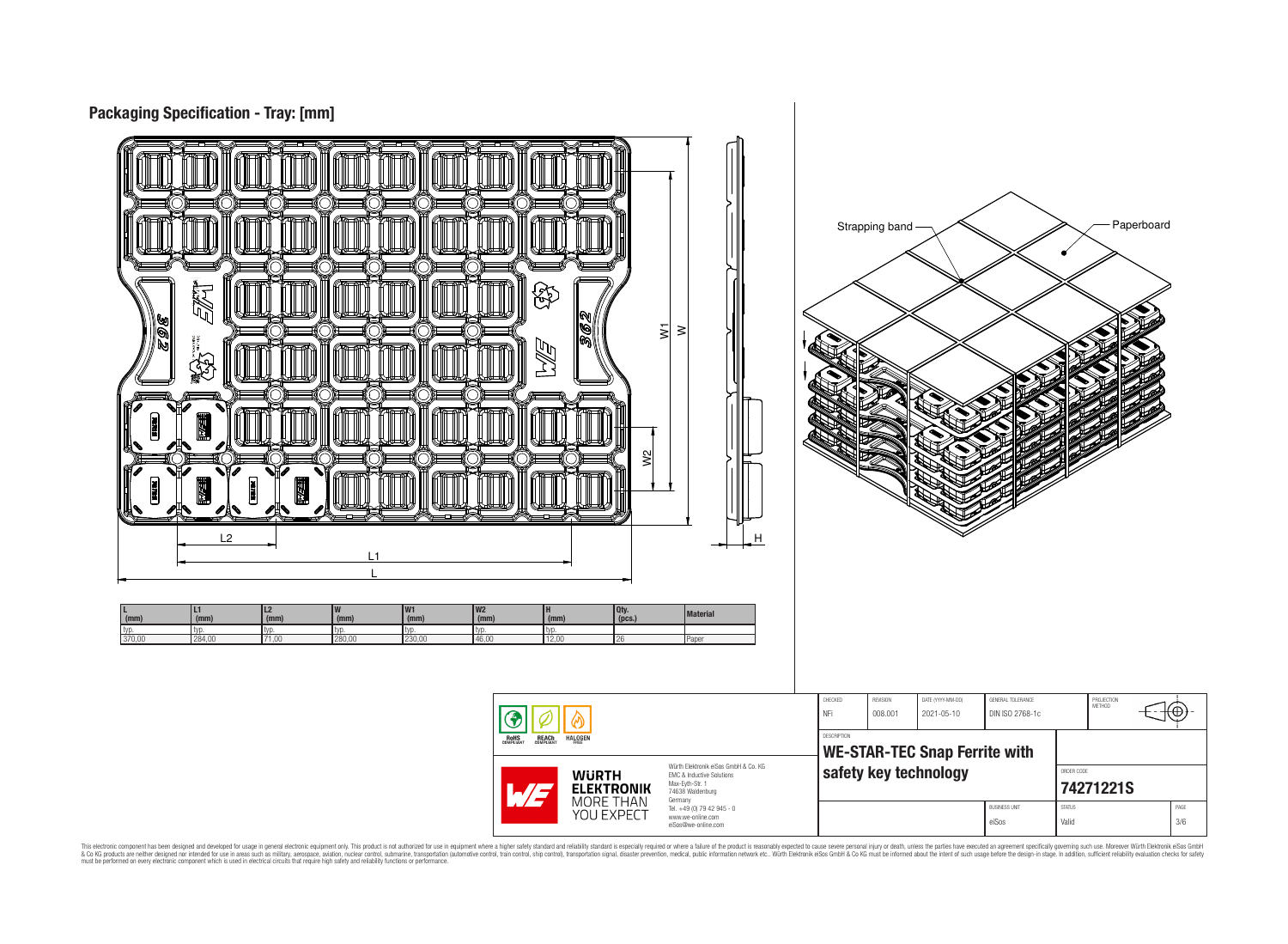

This electronic component has been designed and developed for usage in general electronic equipment only. This product is not authorized for subserved requipment where a higher selection equipment where a higher selection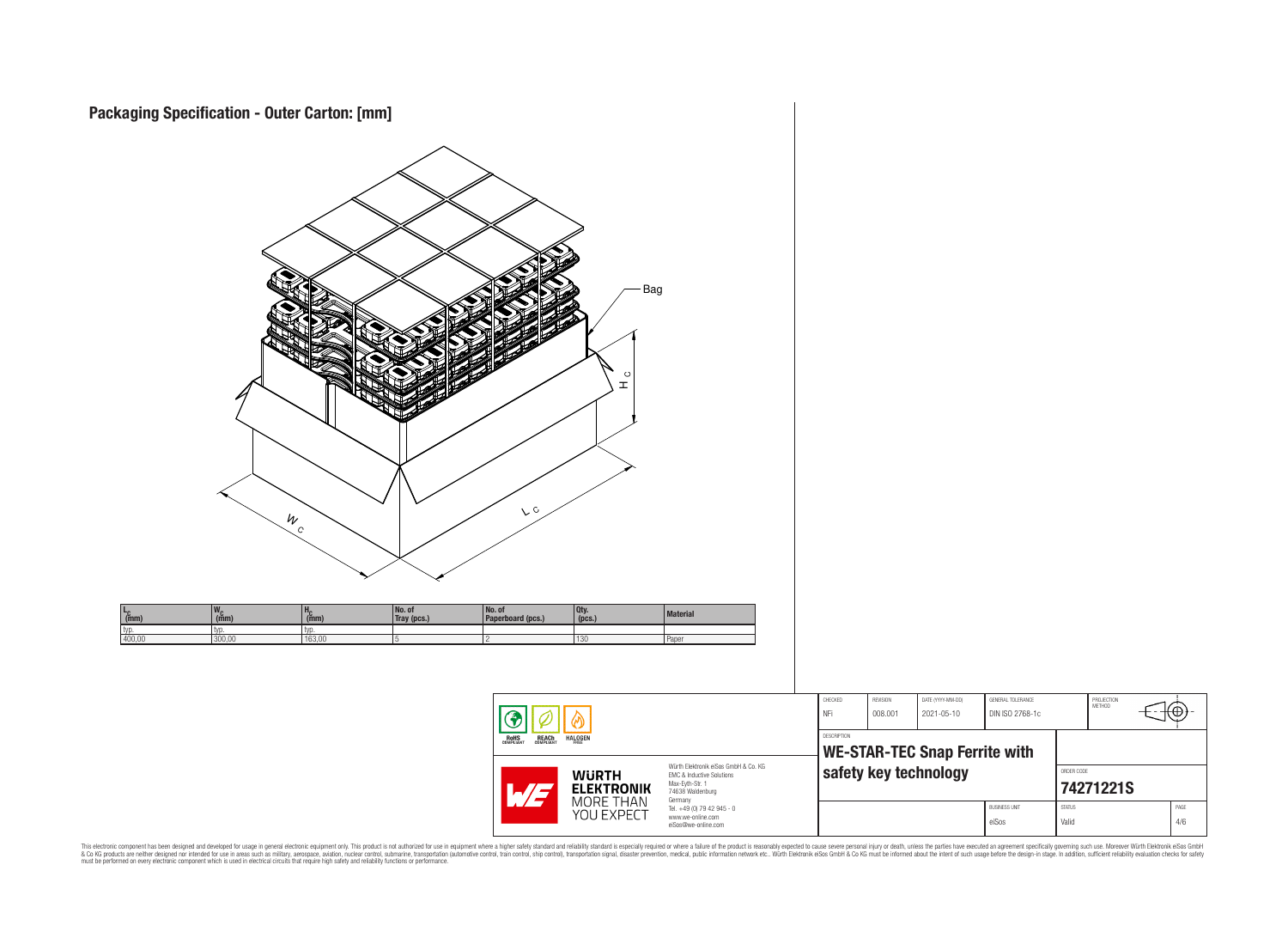



This electronic component has been designed and developed for usage in general electronic equipment only. This product is not authorized for subserved requipment where a higher selection equipment where a higher selection

⊕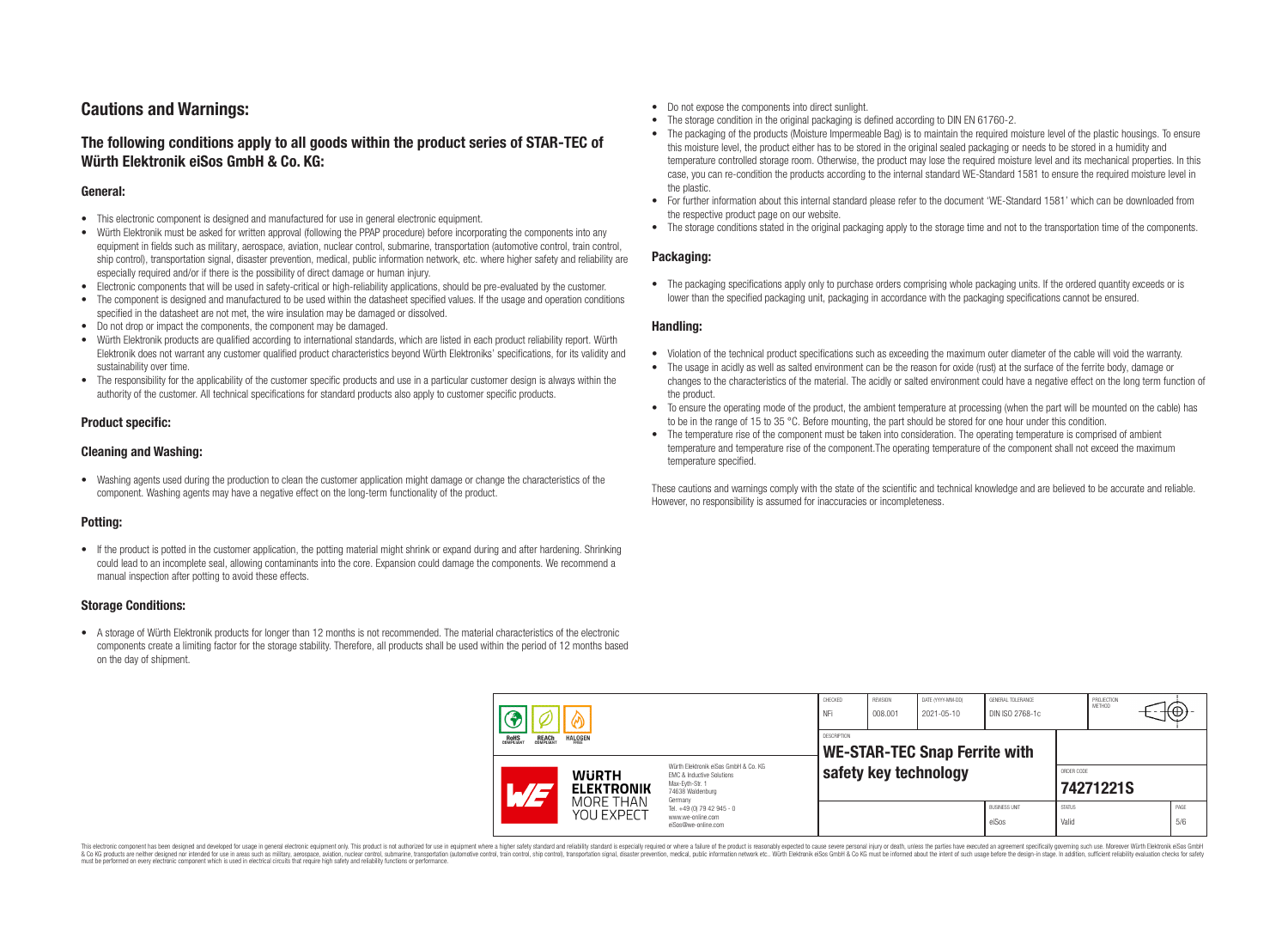# **Cautions and Warnings:**

# **The following conditions apply to all goods within the product series of STAR-TEC of Würth Elektronik eiSos GmbH & Co. KG:**

### **General:**

- This electronic component is designed and manufactured for use in general electronic equipment.
- Würth Elektronik must be asked for written approval (following the PPAP procedure) before incorporating the components into any equipment in fields such as military, aerospace, aviation, nuclear control, submarine, transportation (automotive control, train control, ship control), transportation signal, disaster prevention, medical, public information network, etc. where higher safety and reliability are especially required and/or if there is the possibility of direct damage or human injury.
- Electronic components that will be used in safety-critical or high-reliability applications, should be pre-evaluated by the customer.
- The component is designed and manufactured to be used within the datasheet specified values. If the usage and operation conditions specified in the datasheet are not met, the wire insulation may be damaged or dissolved.
- Do not drop or impact the components, the component may be damaged.
- Würth Elektronik products are qualified according to international standards, which are listed in each product reliability report. Würth Elektronik does not warrant any customer qualified product characteristics beyond Würth Elektroniks' specifications, for its validity and sustainability over time.
- The responsibility for the applicability of the customer specific products and use in a particular customer design is always within the authority of the customer. All technical specifications for standard products also apply to customer specific products.

## **Product specific:**

### **Cleaning and Washing:**

• Washing agents used during the production to clean the customer application might damage or change the characteristics of the component. Washing agents may have a negative effect on the long-term functionality of the product.

## **Potting:**

• If the product is potted in the customer application, the potting material might shrink or expand during and after hardening. Shrinking could lead to an incomplete seal, allowing contaminants into the core. Expansion could damage the components. We recommend a manual inspection after potting to avoid these effects.

### **Storage Conditions:**

• A storage of Würth Elektronik products for longer than 12 months is not recommended. The material characteristics of the electronic components create a limiting factor for the storage stability. Therefore, all products shall be used within the period of 12 months based on the day of shipment.

- Do not expose the components into direct sunlight.
- The storage condition in the original packaging is defined according to DIN EN 61760-2.
- The packaging of the products (Moisture Impermeable Bag) is to maintain the required moisture level of the plastic housings. To ensure this moisture level, the product either has to be stored in the original sealed packaging or needs to be stored in a humidity and temperature controlled storage room. Otherwise, the product may lose the required moisture level and its mechanical properties. In this case, you can re-condition the products according to the internal standard WE-Standard 1581 to ensure the required moisture level in the plastic.
- For further information about this internal standard please refer to the document 'WE-Standard 1581' which can be downloaded from the respective product page on our website.
- The storage conditions stated in the original packaging apply to the storage time and not to the transportation time of the components.

### **Packaging:**

• The packaging specifications apply only to purchase orders comprising whole packaging units. If the ordered quantity exceeds or is lower than the specified packaging unit, packaging in accordance with the packaging specifications cannot be ensured.

#### **Handling:**

- Violation of the technical product specifications such as exceeding the maximum outer diameter of the cable will void the warranty.
- The usage in acidly as well as salted environment can be the reason for oxide (rust) at the surface of the ferrite body, damage or changes to the characteristics of the material. The acidly or salted environment could have a negative effect on the long term function of the product.
- To ensure the operating mode of the product, the ambient temperature at processing (when the part will be mounted on the cable) has to be in the range of 15 to 35 °C. Before mounting, the part should be stored for one hour under this condition.
- The temperature rise of the component must be taken into consideration. The operating temperature is comprised of ambient temperature and temperature rise of the component.The operating temperature of the component shall not exceed the maximum temperature specified.

These cautions and warnings comply with the state of the scientific and technical knowledge and are believed to be accurate and reliable. However, no responsibility is assumed for inaccuracies or incompleteness.

| <b>HALOGEN</b><br><b>ROHS</b><br>COMPLIANT<br><b>REACH</b><br>COMPLIANT<br>FRFF<br>Würth Elektronik eiSos GmbH & Co. KG<br><b>WURTH</b><br><b>EMC &amp; Inductive Solutions</b><br>Max-Eyth-Str. 1<br><b>ELEKTRONIK</b><br>74638 Waldenburg |                         | CHECKED<br>NFi                                                                    | REVISION<br>008.001 | DATE (YYYY-MM-DD)<br>2021-05-10 | GENERAL TOLERANCE<br>DIN ISO 2768-1c |                               | PROJECTION<br><b>METHOD</b> |  | π⊕≁ |             |
|---------------------------------------------------------------------------------------------------------------------------------------------------------------------------------------------------------------------------------------------|-------------------------|-----------------------------------------------------------------------------------|---------------------|---------------------------------|--------------------------------------|-------------------------------|-----------------------------|--|-----|-------------|
|                                                                                                                                                                                                                                             |                         | <b>DESCRIPTION</b><br><b>WE-STAR-TEC Snap Ferrite with</b>                        |                     |                                 |                                      |                               |                             |  |     |             |
|                                                                                                                                                                                                                                             |                         | safety key technology                                                             |                     |                                 | ORDER CODE<br>74271221S              |                               |                             |  |     |             |
|                                                                                                                                                                                                                                             | MORE THAN<br>YOU EXPECT | Germany<br>Tel. +49 (0) 79 42 945 - 0<br>www.we-online.com<br>eiSos@we-online.com |                     |                                 |                                      | <b>BUSINESS UNIT</b><br>eiSos | <b>STATUS</b><br>Valid      |  |     | PAGE<br>5/6 |

This electronic component has been designed and developed for usage in general electronic equipment only. This product is not authorized for use in equipment where a higher safety standard and reliability standard si espec & Ook product a label and the membed of the seasuch as marked and as which such a membed and the such assume that income in the seasuch and the simulation and the such assume that include to the such a membed and the such